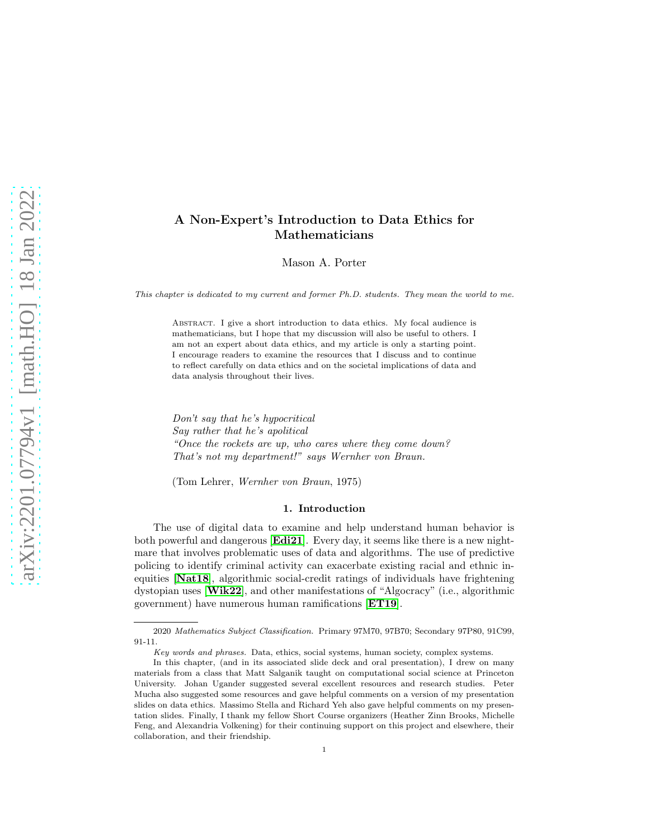# A Non-Expert's Introduction to Data Ethics for Mathematicians

Mason A. Porter

This chapter is dedicated to my current and former Ph.D. students. They mean the world to me.

ABSTRACT. I give a short introduction to data ethics. My focal audience is mathematicians, but I hope that my discussion will also be useful to others. I am not an expert about data ethics, and my article is only a starting point. I encourage readers to examine the resources that I discuss and to continue to reflect carefully on data ethics and on the societal implications of data and data analysis throughout their lives.

*Don't say that he's hypocritical Say rather that he's apolitical "Once the rockets are up, who cares where they come down? That's not my department!" says Wernher von Braun.*

(Tom Lehrer, *Wernher von Braun*, 1975)

### 1. Introduction

The use of digital data to examine and help understand human behavior is both powerful and dangerous [[Edi21](#page-12-0)]. Every day, it seems like there is a new nightmare that involves problematic uses of data and algorithms. The use of predictive policing to identify criminal activity can exacerbate existing racial and ethnic inequities [[Nat18](#page-13-0)], algorithmic social-credit ratings of individuals have frightening dystopian uses [[Wik22](#page-14-0)], and other manifestations of "Algocracy" (i.e., algorithmic government) have numerous human ramifications [[ET19](#page-12-1)].

<sup>2020</sup> Mathematics Subject Classification. Primary 97M70, 97B70; Secondary 97P80, 91C99, 91-11.

Key words and phrases. Data, ethics, social systems, human society, complex systems.

In this chapter, (and in its associated slide deck and oral presentation), I drew on many materials from a class that Matt Salganik taught on computational social science at Princeton University. Johan Ugander suggested several excellent resources and research studies. Peter Mucha also suggested some resources and gave helpful comments on a version of my presentation slides on data ethics. Massimo Stella and Richard Yeh also gave helpful comments on my presentation slides. Finally, I thank my fellow Short Course organizers (Heather Zinn Brooks, Michelle Feng, and Alexandria Volkening) for their continuing support on this project and elsewhere, their collaboration, and their friendship.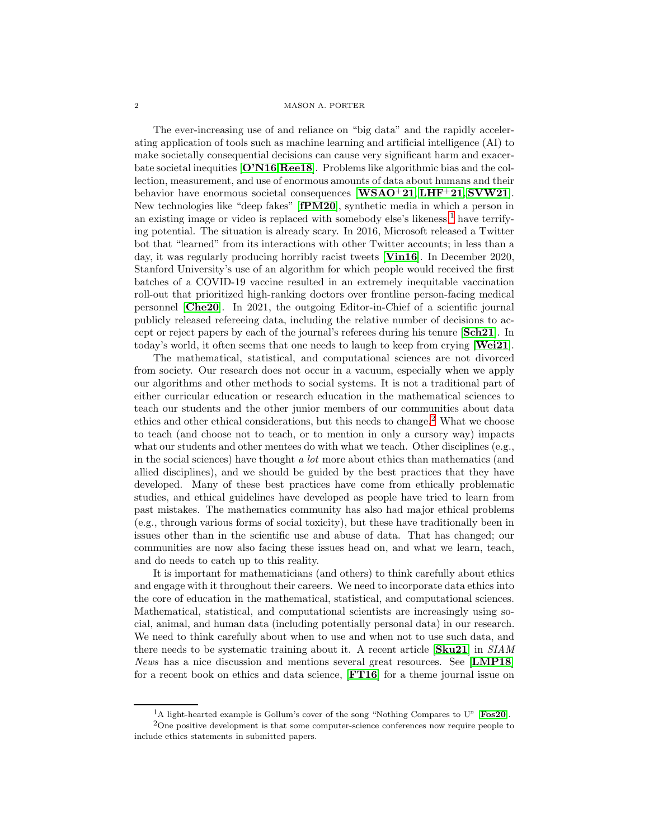The ever-increasing use of and reliance on "big data" and the rapidly accelerating application of tools such as machine learning and artificial intelligence (AI) to make societally consequential decisions can cause very significant harm and exacerbate societal inequities [[O'N16](#page-13-1),[Ree18](#page-14-1)]. Problems like algorithmic bias and the collection, measurement, and use of enormous amounts of data about humans and their behavior have enormous societal consequences  $[\mathbf{WSAO}^+21, \mathbf{LHF}^+21, \mathbf{S} \mathbf{VW21}]$  $[\mathbf{WSAO}^+21, \mathbf{LHF}^+21, \mathbf{S} \mathbf{VW21}]$  $[\mathbf{WSAO}^+21, \mathbf{LHF}^+21, \mathbf{S} \mathbf{VW21}]$  $[\mathbf{WSAO}^+21, \mathbf{LHF}^+21, \mathbf{S} \mathbf{VW21}]$  $[\mathbf{WSAO}^+21, \mathbf{LHF}^+21, \mathbf{S} \mathbf{VW21}]$ . New technologies like "deep fakes" [[fPM20](#page-12-2)], synthetic media in which a person in an existing image or video is replaced with somebody else's likeness,[1](#page-1-0) have terrifying potential. The situation is already scary. In 2016, Microsoft released a Twitter bot that "learned" from its interactions with other Twitter accounts; in less than a day, it was regularly producing horribly racist tweets [[Vin16](#page-14-4)]. In December 2020, Stanford University's use of an algorithm for which people would received the first batches of a COVID-19 vaccine resulted in an extremely inequitable vaccination roll-out that prioritized high-ranking doctors over frontline person-facing medical personnel [[Che20](#page-12-3)]. In 2021, the outgoing Editor-in-Chief of a scientific journal publicly released refereeing data, including the relative number of decisions to accept or reject papers by each of the journal's referees during his tenure [[Sch21](#page-14-5)]. In today's world, it often seems that one needs to laugh to keep from crying [[Wei21](#page-14-6)].

The mathematical, statistical, and computational sciences are not divorced from society. Our research does not occur in a vacuum, especially when we apply our algorithms and other methods to social systems. It is not a traditional part of either curricular education or research education in the mathematical sciences to teach our students and the other junior members of our communities about data ethics and other ethical considerations, but this needs to change. [2](#page-1-1) What we choose to teach (and choose not to teach, or to mention in only a cursory way) impacts what our students and other mentees do with what we teach. Other disciplines (e.g., in the social sciences) have thought *a lot* more about ethics than mathematics (and allied disciplines), and we should be guided by the best practices that they have developed. Many of these best practices have come from ethically problematic studies, and ethical guidelines have developed as people have tried to learn from past mistakes. The mathematics community has also had major ethical problems (e.g., through various forms of social toxicity), but these have traditionally been in issues other than in the scientific use and abuse of data. That has changed; our communities are now also facing these issues head on, and what we learn, teach, and do needs to catch up to this reality.

It is important for mathematicians (and others) to think carefully about ethics and engage with it throughout their careers. We need to incorporate data ethics into the core of education in the mathematical, statistical, and computational sciences. Mathematical, statistical, and computational scientists are increasingly using social, animal, and human data (including potentially personal data) in our research. We need to think carefully about when to use and when not to use such data, and there needs to be systematic training about it. A recent article [[Sku21](#page-14-7)] in *SIAM News* has a nice discussion and mentions several great resources. See [[LMP18](#page-13-3)] for a recent book on ethics and data science, [[FT16](#page-12-4)] for a theme journal issue on

<span id="page-1-1"></span><span id="page-1-0"></span><sup>&</sup>lt;sup>1</sup>A light-hearted example is Gollum's cover of the song "Nothing Compares to U" [[Fos20](#page-12-5)]. <sup>2</sup>One positive development is that some computer-science conferences now require people to include ethics statements in submitted papers.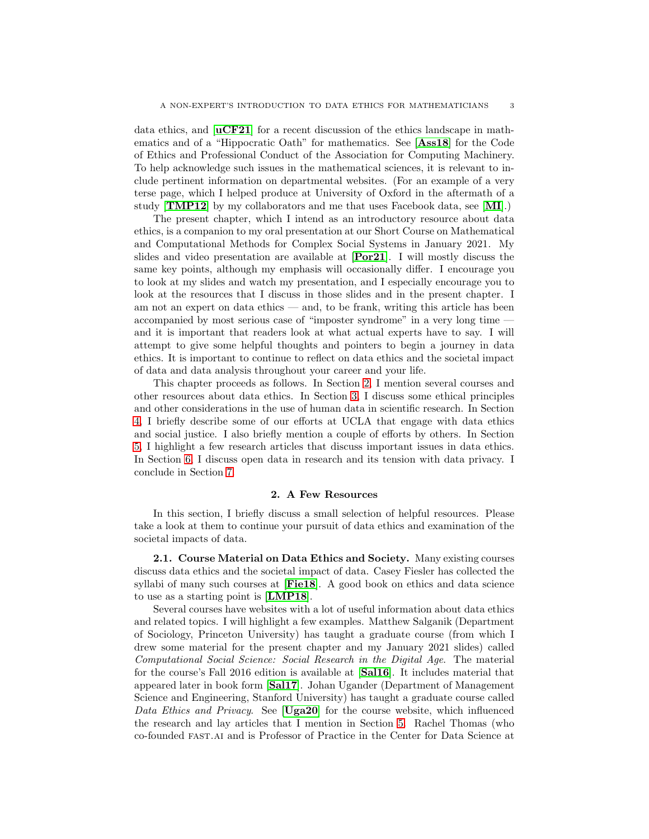data ethics, and  $\textbf{uCF21}$  $\textbf{uCF21}$  $\textbf{uCF21}$  for a recent discussion of the ethics landscape in mathematics and of a "Hippocratic Oath" for mathematics. See [[Ass18](#page-11-0)] for the Code of Ethics and Professional Conduct of the Association for Computing Machinery. To help acknowledge such issues in the mathematical sciences, it is relevant to include pertinent information on departmental websites. (For an example of a very terse page, which I helped produce at University of Oxford in the aftermath of a study  $|\mathbf{TMP12}|$  $|\mathbf{TMP12}|$  $|\mathbf{TMP12}|$  by my collaborators and me that uses Facebook data, see  $|\mathbf{MI}|$  $|\mathbf{MI}|$  $|\mathbf{MI}|$ .

The present chapter, which I intend as an introductory resource about data ethics, is a companion to my oral presentation at our Short Course on Mathematical and Computational Methods for Complex Social Systems in January 2021. My slides and video presentation are available at [[Por21](#page-13-5)]. I will mostly discuss the same key points, although my emphasis will occasionally differ. I encourage you to look at my slides and watch my presentation, and I especially encourage you to look at the resources that I discuss in those slides and in the present chapter. I am not an expert on data ethics — and, to be frank, writing this article has been accompanied by most serious case of "imposter syndrome" in a very long time and it is important that readers look at what actual experts have to say. I will attempt to give some helpful thoughts and pointers to begin a journey in data ethics. It is important to continue to reflect on data ethics and the societal impact of data and data analysis throughout your career and your life.

This chapter proceeds as follows. In Section [2,](#page-2-0) I mention several courses and other resources about data ethics. In Section [3,](#page-3-0) I discuss some ethical principles and other considerations in the use of human data in scientific research. In Section [4,](#page-4-0) I briefly describe some of our efforts at UCLA that engage with data ethics and social justice. I also briefly mention a couple of efforts by others. In Section [5,](#page-6-0) I highlight a few research articles that discuss important issues in data ethics. In Section [6,](#page-7-0) I discuss open data in research and its tension with data privacy. I conclude in Section [7.](#page-11-1)

### 2. A Few Resources

<span id="page-2-0"></span>In this section, I briefly discuss a small selection of helpful resources. Please take a look at them to continue your pursuit of data ethics and examination of the societal impacts of data.

<span id="page-2-1"></span>2.1. Course Material on Data Ethics and Society. Many existing courses discuss data ethics and the societal impact of data. Casey Fiesler has collected the syllabi of many such courses at  $[Field8]$ . A good book on ethics and data science to use as a starting point is [[LMP18](#page-13-3)].

Several courses have websites with a lot of useful information about data ethics and related topics. I will highlight a few examples. Matthew Salganik (Department of Sociology, Princeton University) has taught a graduate course (from which I drew some material for the present chapter and my January 2021 slides) called *Computational Social Science: Social Research in the Digital Age*. The material for the course's Fall 2016 edition is available at [[Sal16](#page-14-10)]. It includes material that appeared later in book form [[Sal17](#page-14-11)]. Johan Ugander (Department of Management Science and Engineering, Stanford University) has taught a graduate course called *Data Ethics and Privacy*. See [[Uga20](#page-14-12)] for the course website, which influenced the research and lay articles that I mention in Section [5.](#page-6-0) Rachel Thomas (who co-founded fast.ai and is Professor of Practice in the Center for Data Science at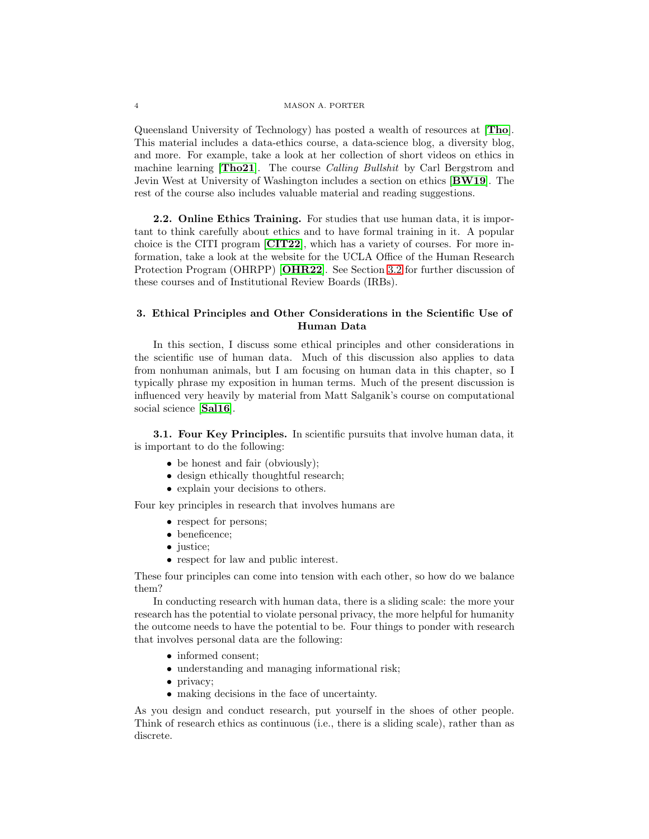Queensland University of Technology) has posted a wealth of resources at [[Tho](#page-14-13)]. This material includes a data-ethics course, a data-science blog, a diversity blog, and more. For example, take a look at her collection of short videos on ethics in machine learning [[Tho21](#page-14-14)]. The course *Calling Bullshit* by Carl Bergstrom and Jevin West at University of Washington includes a section on ethics [[BW19](#page-11-2)]. The rest of the course also includes valuable material and reading suggestions.

2.2. Online Ethics Training. For studies that use human data, it is important to think carefully about ethics and to have formal training in it. A popular choice is the CITI program [[CIT22](#page-12-7)], which has a variety of courses. For more information, take a look at the website for the UCLA Office of the Human Research Protection Program (OHRPP) [[OHR22](#page-13-6)]. See Section [3.2](#page-4-1) for further discussion of these courses and of Institutional Review Boards (IRBs).

## <span id="page-3-0"></span>3. Ethical Principles and Other Considerations in the Scientific Use of Human Data

In this section, I discuss some ethical principles and other considerations in the scientific use of human data. Much of this discussion also applies to data from nonhuman animals, but I am focusing on human data in this chapter, so I typically phrase my exposition in human terms. Much of the present discussion is influenced very heavily by material from Matt Salganik's course on computational social science [[Sal16](#page-14-10)].

**3.1. Four Key Principles.** In scientific pursuits that involve human data, it is important to do the following:

- be honest and fair (obviously);
- design ethically thoughtful research;
- explain your decisions to others.

Four key principles in research that involves humans are

- respect for persons;
- beneficence;
- justice;
- respect for law and public interest.

These four principles can come into tension with each other, so how do we balance them?

In conducting research with human data, there is a sliding scale: the more your research has the potential to violate personal privacy, the more helpful for humanity the outcome needs to have the potential to be. Four things to ponder with research that involves personal data are the following:

- informed consent;
- understanding and managing informational risk;
- privacy;
- making decisions in the face of uncertainty.

As you design and conduct research, put yourself in the shoes of other people. Think of research ethics as continuous (i.e., there is a sliding scale), rather than as discrete.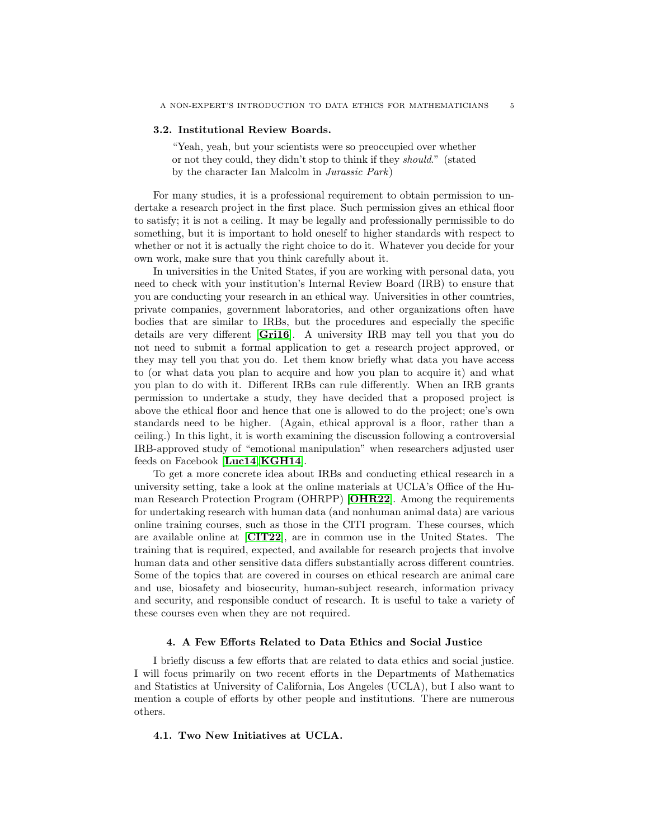#### <span id="page-4-1"></span>3.2. Institutional Review Boards.

"Yeah, yeah, but your scientists were so preoccupied over whether or not they could, they didn't stop to think if they *should*." (stated by the character Ian Malcolm in *Jurassic Park*)

For many studies, it is a professional requirement to obtain permission to undertake a research project in the first place. Such permission gives an ethical floor to satisfy; it is not a ceiling. It may be legally and professionally permissible to do something, but it is important to hold oneself to higher standards with respect to whether or not it is actually the right choice to do it. Whatever you decide for your own work, make sure that you think carefully about it.

In universities in the United States, if you are working with personal data, you need to check with your institution's Internal Review Board (IRB) to ensure that you are conducting your research in an ethical way. Universities in other countries, private companies, government laboratories, and other organizations often have bodies that are similar to IRBs, but the procedures and especially the specific details are very different [[Gri16](#page-12-8)]. A university IRB may tell you that you do not need to submit a formal application to get a research project approved, or they may tell you that you do. Let them know briefly what data you have access to (or what data you plan to acquire and how you plan to acquire it) and what you plan to do with it. Different IRBs can rule differently. When an IRB grants permission to undertake a study, they have decided that a proposed project is above the ethical floor and hence that one is allowed to do the project; one's own standards need to be higher. (Again, ethical approval is a floor, rather than a ceiling.) In this light, it is worth examining the discussion following a controversial IRB-approved study of "emotional manipulation" when researchers adjusted user feeds on Facebook [[Luc14](#page-13-7),[KGH14](#page-12-9)].

To get a more concrete idea about IRBs and conducting ethical research in a university setting, take a look at the online materials at UCLA's Office of the Human Research Protection Program (OHRPP) [[OHR22](#page-13-6)]. Among the requirements for undertaking research with human data (and nonhuman animal data) are various online training courses, such as those in the CITI program. These courses, which are available online at [[CIT22](#page-12-7)], are in common use in the United States. The training that is required, expected, and available for research projects that involve human data and other sensitive data differs substantially across different countries. Some of the topics that are covered in courses on ethical research are animal care and use, biosafety and biosecurity, human-subject research, information privacy and security, and responsible conduct of research. It is useful to take a variety of these courses even when they are not required.

### 4. A Few Efforts Related to Data Ethics and Social Justice

<span id="page-4-0"></span>I briefly discuss a few efforts that are related to data ethics and social justice. I will focus primarily on two recent efforts in the Departments of Mathematics and Statistics at University of California, Los Angeles (UCLA), but I also want to mention a couple of efforts by other people and institutions. There are numerous others.

### 4.1. Two New Initiatives at UCLA.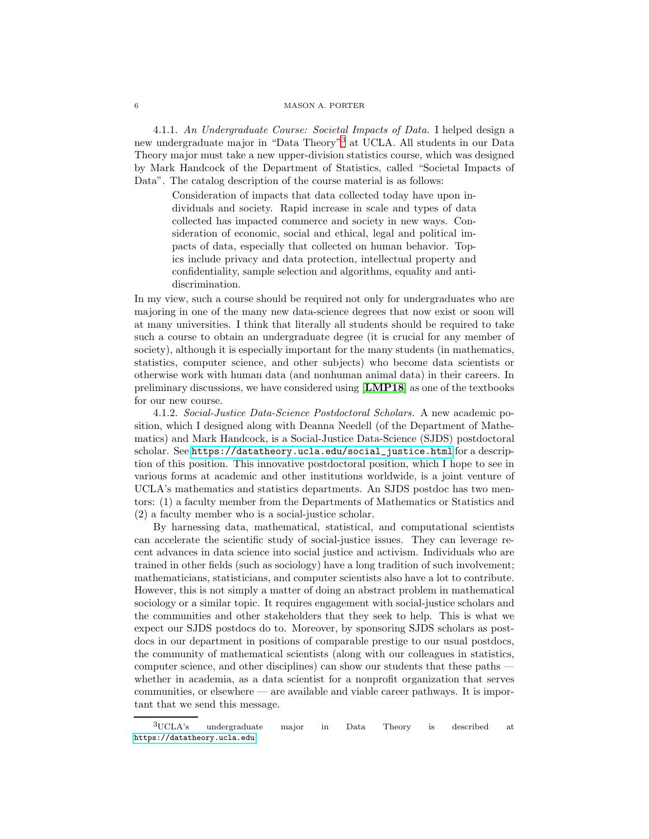4.1.1. *An Undergraduate Course: Societal Impacts of Data.* I helped design a new undergraduate major in "Data Theory"[3](#page-5-0) at UCLA. All students in our Data Theory major must take a new upper-division statistics course, which was designed by Mark Handcock of the Department of Statistics, called "Societal Impacts of Data". The catalog description of the course material is as follows:

Consideration of impacts that data collected today have upon individuals and society. Rapid increase in scale and types of data collected has impacted commerce and society in new ways. Consideration of economic, social and ethical, legal and political impacts of data, especially that collected on human behavior. Topics include privacy and data protection, intellectual property and confidentiality, sample selection and algorithms, equality and antidiscrimination.

In my view, such a course should be required not only for undergraduates who are majoring in one of the many new data-science degrees that now exist or soon will at many universities. I think that literally all students should be required to take such a course to obtain an undergraduate degree (it is crucial for any member of society), although it is especially important for the many students (in mathematics, statistics, computer science, and other subjects) who become data scientists or otherwise work with human data (and nonhuman animal data) in their careers. In preliminary discussions, we have considered using [[LMP18](#page-13-3)] as one of the textbooks for our new course.

4.1.2. *Social-Justice Data-Science Postdoctoral Scholars.* A new academic position, which I designed along with Deanna Needell (of the Department of Mathematics) and Mark Handcock, is a Social-Justice Data-Science (SJDS) postdoctoral scholar. See [https://datatheory.ucla.edu/social\\_justice.html](https://datatheory.ucla.edu/social_justice.html) for a description of this position. This innovative postdoctoral position, which I hope to see in various forms at academic and other institutions worldwide, is a joint venture of UCLA's mathematics and statistics departments. An SJDS postdoc has two mentors: (1) a faculty member from the Departments of Mathematics or Statistics and (2) a faculty member who is a social-justice scholar.

By harnessing data, mathematical, statistical, and computational scientists can accelerate the scientific study of social-justice issues. They can leverage recent advances in data science into social justice and activism. Individuals who are trained in other fields (such as sociology) have a long tradition of such involvement; mathematicians, statisticians, and computer scientists also have a lot to contribute. However, this is not simply a matter of doing an abstract problem in mathematical sociology or a similar topic. It requires engagement with social-justice scholars and the communities and other stakeholders that they seek to help. This is what we expect our SJDS postdocs do to. Moreover, by sponsoring SJDS scholars as postdocs in our department in positions of comparable prestige to our usual postdocs, the community of mathematical scientists (along with our colleagues in statistics, computer science, and other disciplines) can show our students that these paths whether in academia, as a data scientist for a nonprofit organization that serves communities, or elsewhere — are available and viable career pathways. It is important that we send this message.

<span id="page-5-0"></span><sup>3</sup>UCLA's undergraduate major in Data Theory is described at <https://datatheory.ucla.edu>.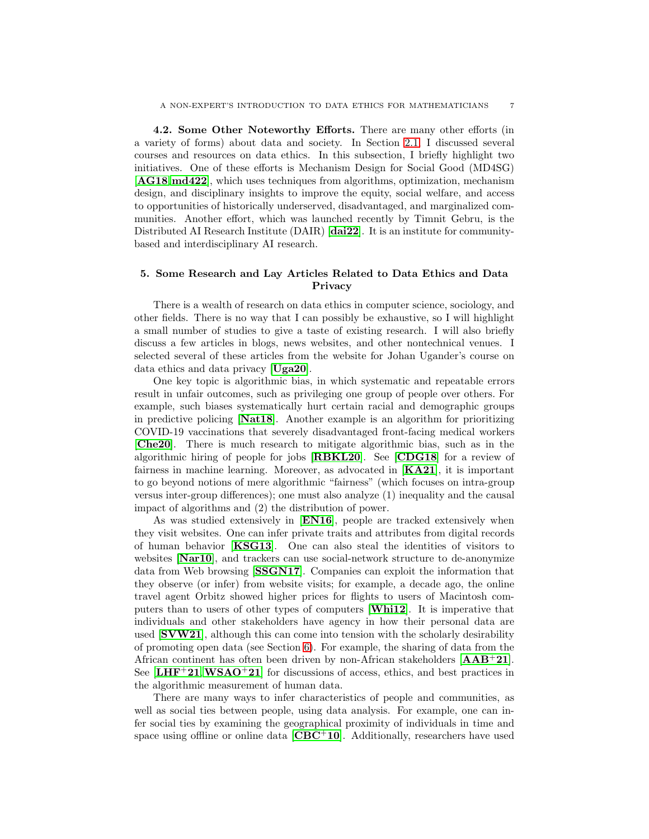4.2. Some Other Noteworthy Efforts. There are many other efforts (in a variety of forms) about data and society. In Section [2.1,](#page-2-1) I discussed several courses and resources on data ethics. In this subsection, I briefly highlight two initiatives. One of these efforts is Mechanism Design for Social Good (MD4SG) [[AG18](#page-11-3),[md422](#page-13-8)], which uses techniques from algorithms, optimization, mechanism design, and disciplinary insights to improve the equity, social welfare, and access to opportunities of historically underserved, disadvantaged, and marginalized communities. Another effort, which was launched recently by Timnit Gebru, is the Distributed AI Research Institute (DAIR) [[dai22](#page-12-10)]. It is an institute for communitybased and interdisciplinary AI research.

# <span id="page-6-0"></span>5. Some Research and Lay Articles Related to Data Ethics and Data Privacy

There is a wealth of research on data ethics in computer science, sociology, and other fields. There is no way that I can possibly be exhaustive, so I will highlight a small number of studies to give a taste of existing research. I will also briefly discuss a few articles in blogs, news websites, and other nontechnical venues. I selected several of these articles from the website for Johan Ugander's course on data ethics and data privacy [[Uga20](#page-14-12)].

One key topic is algorithmic bias, in which systematic and repeatable errors result in unfair outcomes, such as privileging one group of people over others. For example, such biases systematically hurt certain racial and demographic groups in predictive policing [[Nat18](#page-13-0)]. Another example is an algorithm for prioritizing COVID-19 vaccinations that severely disadvantaged front-facing medical workers [[Che20](#page-12-3)]. There is much research to mitigate algorithmic bias, such as in the algorithmic hiring of people for jobs [[RBKL20](#page-13-9)]. See [[CDG18](#page-12-11)] for a review of fairness in machine learning. Moreover, as advocated in  $[KA21]$  $[KA21]$  $[KA21]$ , it is important to go beyond notions of mere algorithmic "fairness" (which focuses on intra-group versus inter-group differences); one must also analyze (1) inequality and the causal impact of algorithms and (2) the distribution of power.

As was studied extensively in [[EN16](#page-12-13)], people are tracked extensively when they visit websites. One can infer private traits and attributes from digital records of human behavior [[KSG13](#page-13-10)]. One can also steal the identities of visitors to websites [[Nar10](#page-13-11)], and trackers can use social-network structure to de-anonymize data from Web browsing [[SSGN17](#page-14-15)]. Companies can exploit the information that they observe (or infer) from website visits; for example, a decade ago, the online travel agent Orbitz showed higher prices for flights to users of Macintosh computers than to users of other types of computers [[Whi12](#page-14-16)]. It is imperative that individuals and other stakeholders have agency in how their personal data are used [[SVW21](#page-14-3)], although this can come into tension with the scholarly desirability of promoting open data (see Section [6\)](#page-7-0). For example, the sharing of data from the African continent has often been driven by non-African stakeholders  $[AAB+21]$  $[AAB+21]$  $[AAB+21]$ . See  **for discussions of access, ethics, and best practices in** the algorithmic measurement of human data.

There are many ways to infer characteristics of people and communities, as well as social ties between people, using data analysis. For example, one can infer social ties by examining the geographical proximity of individuals in time and space using offline or online data  $[\text{CBC}^+10]$  $[\text{CBC}^+10]$  $[\text{CBC}^+10]$ . Additionally, researchers have used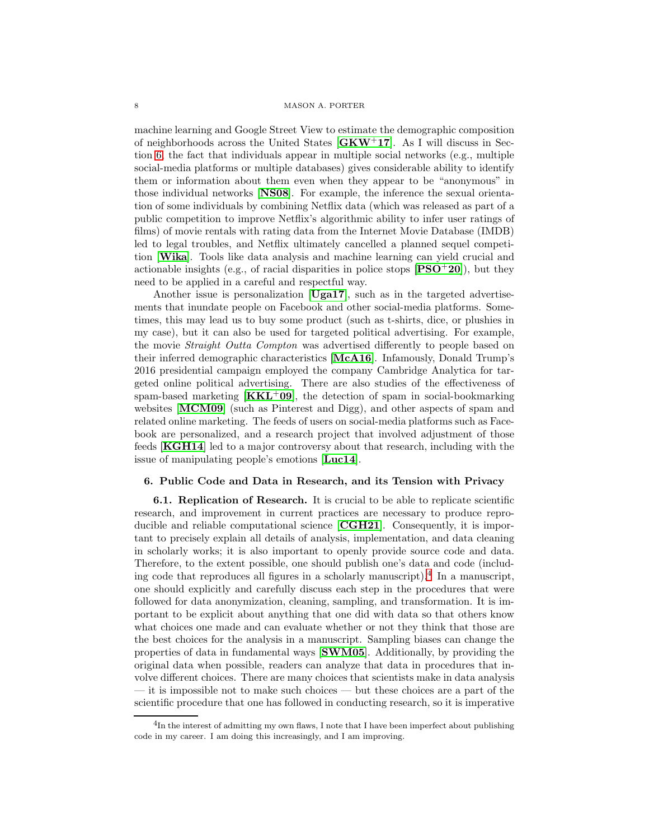machine learning and Google Street View to estimate the demographic composition of neighborhoods across the United States  $GKW^+17$  $GKW^+17$ . As I will discuss in Section [6,](#page-7-0) the fact that individuals appear in multiple social networks (e.g., multiple social-media platforms or multiple databases) gives considerable ability to identify them or information about them even when they appear to be "anonymous" in those individual networks [[NS08](#page-13-12)]. For example, the inference the sexual orientation of some individuals by combining Netflix data (which was released as part of a public competition to improve Netflix's algorithmic ability to infer user ratings of films) of movie rentals with rating data from the Internet Movie Database (IMDB) led to legal troubles, and Netflix ultimately cancelled a planned sequel competition [[Wika](#page-14-17)]. Tools like data analysis and machine learning can yield crucial and actionable insights (e.g., of racial disparities in police stops  $[PSO^+20]$  $[PSO^+20]$  $[PSO^+20]$ ), but they need to be applied in a careful and respectful way.

Another issue is personalization [[Uga17](#page-14-18)], such as in the targeted advertisements that inundate people on Facebook and other social-media platforms. Sometimes, this may lead us to buy some product (such as t-shirts, dice, or plushies in my case), but it can also be used for targeted political advertising. For example, the movie *Straight Outta Compton* was advertised differently to people based on their inferred demographic characteristics [[McA16](#page-13-14)]. Infamously, Donald Trump's 2016 presidential campaign employed the company Cambridge Analytica for targeted online political advertising. There are also studies of the effectiveness of spam-based marketing  $[KKL+09]$  $[KKL+09]$  $[KKL+09]$ , the detection of spam in social-bookmarking websites [[MCM09](#page-13-15)] (such as Pinterest and Digg), and other aspects of spam and related online marketing. The feeds of users on social-media platforms such as Facebook are personalized, and a research project that involved adjustment of those feeds [[KGH14](#page-12-9)] led to a major controversy about that research, including with the issue of manipulating people's emotions [[Luc14](#page-13-7)].

### <span id="page-7-2"></span><span id="page-7-0"></span>6. Public Code and Data in Research, and its Tension with Privacy

6.1. Replication of Research. It is crucial to be able to replicate scientific research, and improvement in current practices are necessary to produce reproducible and reliable computational science [[CGH21](#page-12-16)]. Consequently, it is important to precisely explain all details of analysis, implementation, and data cleaning in scholarly works; it is also important to openly provide source code and data. Therefore, to the extent possible, one should publish one's data and code (including code that reproduces all figures in a scholarly manuscript).[4](#page-7-1) In a manuscript, one should explicitly and carefully discuss each step in the procedures that were followed for data anonymization, cleaning, sampling, and transformation. It is important to be explicit about anything that one did with data so that others know what choices one made and can evaluate whether or not they think that those are the best choices for the analysis in a manuscript. Sampling biases can change the properties of data in fundamental ways [[SWM05](#page-14-19)]. Additionally, by providing the original data when possible, readers can analyze that data in procedures that involve different choices. There are many choices that scientists make in data analysis — it is impossible not to make such choices — but these choices are a part of the scientific procedure that one has followed in conducting research, so it is imperative

<span id="page-7-1"></span> ${}^{4}$ In the interest of admitting my own flaws, I note that I have been imperfect about publishing code in my career. I am doing this increasingly, and I am improving.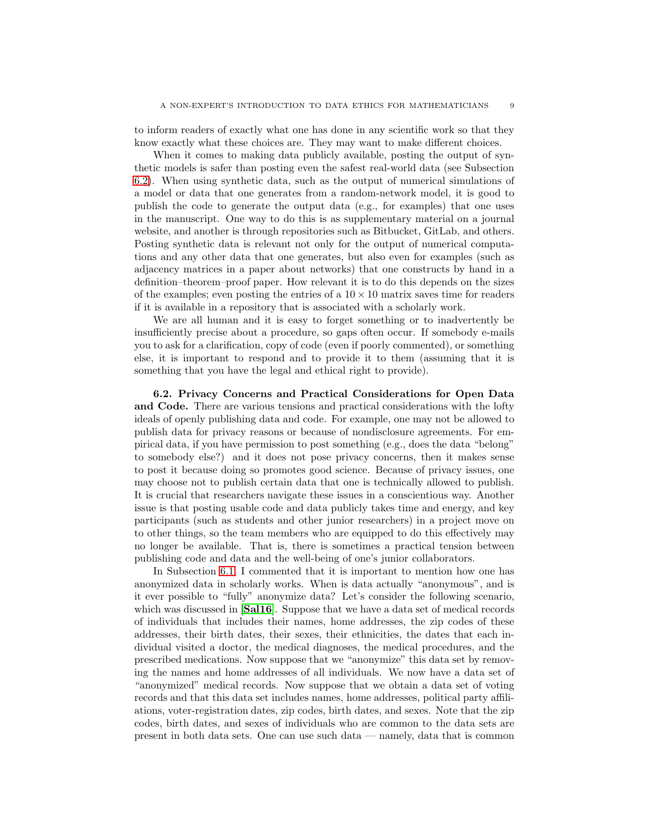to inform readers of exactly what one has done in any scientific work so that they know exactly what these choices are. They may want to make different choices.

When it comes to making data publicly available, posting the output of synthetic models is safer than posting even the safest real-world data (see Subsection [6.2\)](#page-8-0). When using synthetic data, such as the output of numerical simulations of a model or data that one generates from a random-network model, it is good to publish the code to generate the output data (e.g., for examples) that one uses in the manuscript. One way to do this is as supplementary material on a journal website, and another is through repositories such as Bitbucket, GitLab, and others. Posting synthetic data is relevant not only for the output of numerical computations and any other data that one generates, but also even for examples (such as adjacency matrices in a paper about networks) that one constructs by hand in a definition–theorem–proof paper. How relevant it is to do this depends on the sizes of the examples; even posting the entries of a  $10 \times 10$  matrix saves time for readers if it is available in a repository that is associated with a scholarly work.

We are all human and it is easy to forget something or to inadvertently be insufficiently precise about a procedure, so gaps often occur. If somebody e-mails you to ask for a clarification, copy of code (even if poorly commented), or something else, it is important to respond and to provide it to them (assuming that it is something that you have the legal and ethical right to provide).

<span id="page-8-0"></span>6.2. Privacy Concerns and Practical Considerations for Open Data and Code. There are various tensions and practical considerations with the lofty ideals of openly publishing data and code. For example, one may not be allowed to publish data for privacy reasons or because of nondisclosure agreements. For empirical data, if you have permission to post something (e.g., does the data "belong" to somebody else?) and it does not pose privacy concerns, then it makes sense to post it because doing so promotes good science. Because of privacy issues, one may choose not to publish certain data that one is technically allowed to publish. It is crucial that researchers navigate these issues in a conscientious way. Another issue is that posting usable code and data publicly takes time and energy, and key participants (such as students and other junior researchers) in a project move on to other things, so the team members who are equipped to do this effectively may no longer be available. That is, there is sometimes a practical tension between publishing code and data and the well-being of one's junior collaborators.

In Subsection [6.1,](#page-7-2) I commented that it is important to mention how one has anonymized data in scholarly works. When is data actually "anonymous", and is it ever possible to "fully" anonymize data? Let's consider the following scenario, which was discussed in **[[Sal16](#page-14-10)**]. Suppose that we have a data set of medical records of individuals that includes their names, home addresses, the zip codes of these addresses, their birth dates, their sexes, their ethnicities, the dates that each individual visited a doctor, the medical diagnoses, the medical procedures, and the prescribed medications. Now suppose that we "anonymize" this data set by removing the names and home addresses of all individuals. We now have a data set of "anonymized" medical records. Now suppose that we obtain a data set of voting records and that this data set includes names, home addresses, political party affiliations, voter-registration dates, zip codes, birth dates, and sexes. Note that the zip codes, birth dates, and sexes of individuals who are common to the data sets are present in both data sets. One can use such data — namely, data that is common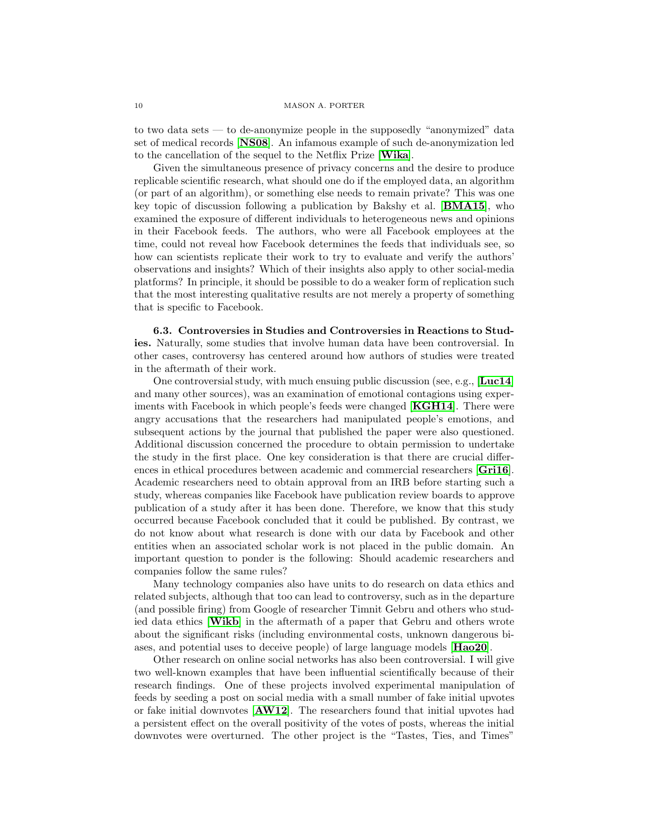to two data sets — to de-anonymize people in the supposedly "anonymized" data set of medical records [[NS08](#page-13-12)]. An infamous example of such de-anonymization led to the cancellation of the sequel to the Netflix Prize [[Wika](#page-14-17)].

Given the simultaneous presence of privacy concerns and the desire to produce replicable scientific research, what should one do if the employed data, an algorithm (or part of an algorithm), or something else needs to remain private? This was one key topic of discussion following a publication by Bakshy et al. [[BMA15](#page-11-6)], who examined the exposure of different individuals to heterogeneous news and opinions in their Facebook feeds. The authors, who were all Facebook employees at the time, could not reveal how Facebook determines the feeds that individuals see, so how can scientists replicate their work to try to evaluate and verify the authors' observations and insights? Which of their insights also apply to other social-media platforms? In principle, it should be possible to do a weaker form of replication such that the most interesting qualitative results are not merely a property of something that is specific to Facebook.

6.3. Controversies in Studies and Controversies in Reactions to Studies. Naturally, some studies that involve human data have been controversial. In other cases, controversy has centered around how authors of studies were treated in the aftermath of their work.

One controversial study, with much ensuing public discussion (see, e.g., [[Luc14](#page-13-7)] and many other sources), was an examination of emotional contagions using exper-iments with Facebook in which people's feeds were changed [[KGH14](#page-12-9)]. There were angry accusations that the researchers had manipulated people's emotions, and subsequent actions by the journal that published the paper were also questioned. Additional discussion concerned the procedure to obtain permission to undertake the study in the first place. One key consideration is that there are crucial differences in ethical procedures between academic and commercial researchers [[Gri16](#page-12-8)]. Academic researchers need to obtain approval from an IRB before starting such a study, whereas companies like Facebook have publication review boards to approve publication of a study after it has been done. Therefore, we know that this study occurred because Facebook concluded that it could be published. By contrast, we do not know about what research is done with our data by Facebook and other entities when an associated scholar work is not placed in the public domain. An important question to ponder is the following: Should academic researchers and companies follow the same rules?

Many technology companies also have units to do research on data ethics and related subjects, although that too can lead to controversy, such as in the departure (and possible firing) from Google of researcher Timnit Gebru and others who studied data ethics [[Wikb](#page-14-20)] in the aftermath of a paper that Gebru and others wrote about the significant risks (including environmental costs, unknown dangerous biases, and potential uses to deceive people) of large language models [[Hao20](#page-12-17)].

Other research on online social networks has also been controversial. I will give two well-known examples that have been influential scientifically because of their research findings. One of these projects involved experimental manipulation of feeds by seeding a post on social media with a small number of fake initial upvotes or fake initial downvotes [[AW12](#page-11-7)]. The researchers found that initial upvotes had a persistent effect on the overall positivity of the votes of posts, whereas the initial downvotes were overturned. The other project is the "Tastes, Ties, and Times"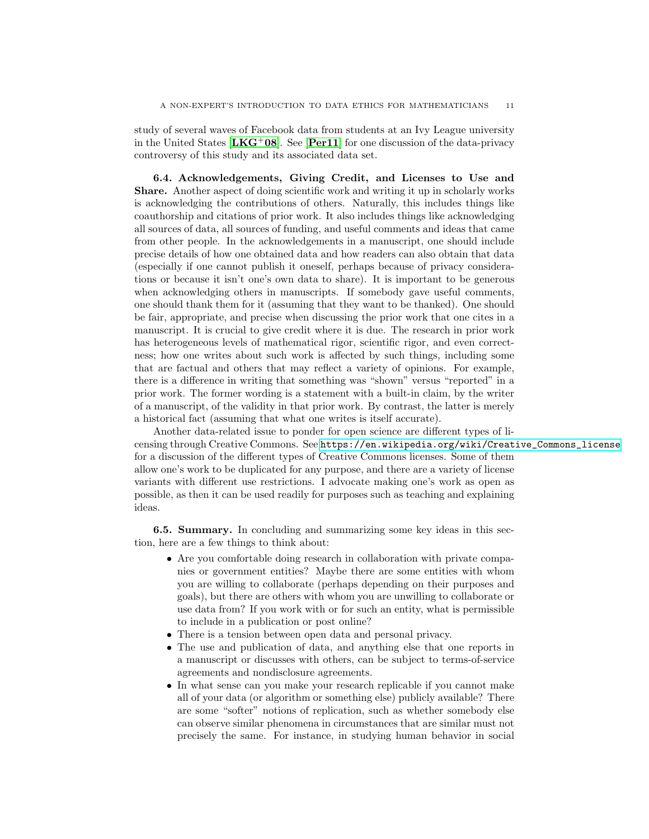study of several waves of Facebook data from students at an Ivy League university in the United States  $[\mathbf{L} \mathbf{K} \mathbf{G}^+ \mathbf{0} \mathbf{S}]$ . See [[Per11](#page-13-17)] for one discussion of the data-privacy controversy of this study and its associated data set.

6.4. Acknowledgements, Giving Credit, and Licenses to Use and Share. Another aspect of doing scientific work and writing it up in scholarly works is acknowledging the contributions of others. Naturally, this includes things like coauthorship and citations of prior work. It also includes things like acknowledging all sources of data, all sources of funding, and useful comments and ideas that came from other people. In the acknowledgements in a manuscript, one should include precise details of how one obtained data and how readers can also obtain that data (especially if one cannot publish it oneself, perhaps because of privacy considerations or because it isn't one's own data to share). It is important to be generous when acknowledging others in manuscripts. If somebody gave useful comments, one should thank them for it (assuming that they want to be thanked). One should be fair, appropriate, and precise when discussing the prior work that one cites in a manuscript. It is crucial to give credit where it is due. The research in prior work has heterogeneous levels of mathematical rigor, scientific rigor, and even correctness; how one writes about such work is affected by such things, including some that are factual and others that may reflect a variety of opinions. For example, there is a difference in writing that something was "shown" versus "reported" in a prior work. The former wording is a statement with a built-in claim, by the writer of a manuscript, of the validity in that prior work. By contrast, the latter is merely a historical fact (assuming that what one writes is itself accurate).

Another data-related issue to ponder for open science are different types of licensing through Creative Commons. See [https://en.wikipedia.org/wiki/Creative\\_Commons\\_license](https://en.wikipedia.org/wiki/Creative_Commons_license) for a discussion of the different types of Creative Commons licenses. Some of them allow one's work to be duplicated for any purpose, and there are a variety of license variants with different use restrictions. I advocate making one's work as open as possible, as then it can be used readily for purposes such as teaching and explaining ideas.

6.5. Summary. In concluding and summarizing some key ideas in this section, here are a few things to think about:

- Are you comfortable doing research in collaboration with private companies or government entities? Maybe there are some entities with whom you are willing to collaborate (perhaps depending on their purposes and goals), but there are others with whom you are unwilling to collaborate or use data from? If you work with or for such an entity, what is permissible to include in a publication or post online?
- There is a tension between open data and personal privacy.
- The use and publication of data, and anything else that one reports in a manuscript or discusses with others, can be subject to terms-of-service agreements and nondisclosure agreements.
- In what sense can you make your research replicable if you cannot make all of your data (or algorithm or something else) publicly available? There are some "softer" notions of replication, such as whether somebody else can observe similar phenomena in circumstances that are similar must not precisely the same. For instance, in studying human behavior in social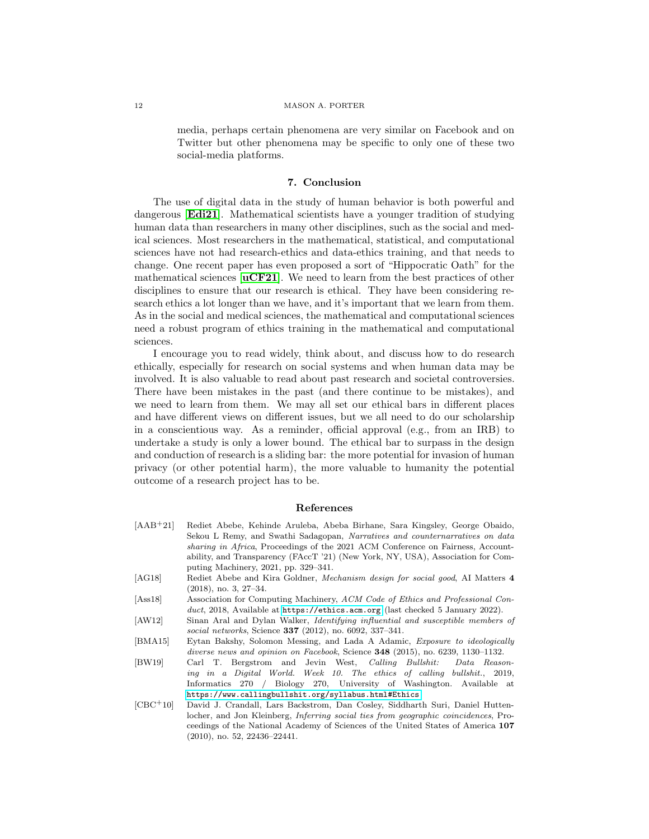media, perhaps certain phenomena are very similar on Facebook and on Twitter but other phenomena may be specific to only one of these two social-media platforms.

### 7. Conclusion

<span id="page-11-1"></span>The use of digital data in the study of human behavior is both powerful and dangerous [[Edi21](#page-12-0)]. Mathematical scientists have a younger tradition of studying human data than researchers in many other disciplines, such as the social and medical sciences. Most researchers in the mathematical, statistical, and computational sciences have not had research-ethics and data-ethics training, and that needs to change. One recent paper has even proposed a sort of "Hippocratic Oath" for the mathematical sciences  $[\mathbf{uCF21}]$  $[\mathbf{uCF21}]$  $[\mathbf{uCF21}]$ . We need to learn from the best practices of other disciplines to ensure that our research is ethical. They have been considering research ethics a lot longer than we have, and it's important that we learn from them. As in the social and medical sciences, the mathematical and computational sciences need a robust program of ethics training in the mathematical and computational sciences.

I encourage you to read widely, think about, and discuss how to do research ethically, especially for research on social systems and when human data may be involved. It is also valuable to read about past research and societal controversies. There have been mistakes in the past (and there continue to be mistakes), and we need to learn from them. We may all set our ethical bars in different places and have different views on different issues, but we all need to do our scholarship in a conscientious way. As a reminder, official approval (e.g., from an IRB) to undertake a study is only a lower bound. The ethical bar to surpass in the design and conduction of research is a sliding bar: the more potential for invasion of human privacy (or other potential harm), the more valuable to humanity the potential outcome of a research project has to be.

#### References

- <span id="page-11-4"></span>[AAB+21] Rediet Abebe, Kehinde Aruleba, Abeba Birhane, Sara Kingsley, George Obaido, Sekou L Remy, and Swathi Sadagopan, Narratives and counternarratives on data sharing in Africa, Proceedings of the 2021 ACM Conference on Fairness, Accountability, and Transparency (FAccT '21) (New York, NY, USA), Association for Computing Machinery, 2021, pp. 329–341.
- <span id="page-11-3"></span>[AG18] Rediet Abebe and Kira Goldner, Mechanism design for social good, AI Matters 4 (2018), no. 3, 27–34.
- <span id="page-11-0"></span>[Ass18] Association for Computing Machinery, ACM Code of Ethics and Professional Conduct, 2018, Available at <https://ethics.acm.org> (last checked 5 January 2022).
- <span id="page-11-7"></span>[AW12] Sinan Aral and Dylan Walker, Identifying influential and susceptible members of social networks, Science 337 (2012), no. 6092, 337–341.
- <span id="page-11-6"></span>[BMA15] Eytan Bakshy, Solomon Messing, and Lada A Adamic, Exposure to ideologically diverse news and opinion on Facebook, Science 348 (2015), no. 6239, 1130–1132.
- <span id="page-11-2"></span>[BW19] Carl T. Bergstrom and Jevin West, Calling Bullshit: Data Reasoning in a Digital World. Week 10. The ethics of calling bullshit., 2019, Informatics 270 / Biology 270, University of Washington. Available at <https://www.callingbullshit.org/syllabus.html#Ethics>.
- <span id="page-11-5"></span>[CBC+10] David J. Crandall, Lars Backstrom, Dan Cosley, Siddharth Suri, Daniel Huttenlocher, and Jon Kleinberg, Inferring social ties from geographic coincidences, Proceedings of the National Academy of Sciences of the United States of America 107 (2010), no. 52, 22436–22441.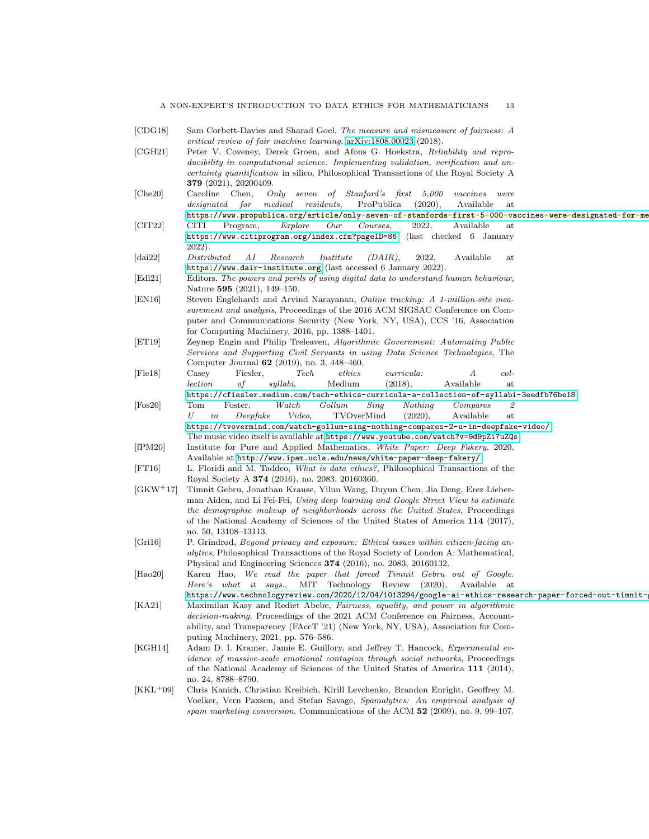- <span id="page-12-17"></span><span id="page-12-16"></span><span id="page-12-15"></span><span id="page-12-14"></span><span id="page-12-13"></span><span id="page-12-12"></span><span id="page-12-11"></span><span id="page-12-10"></span><span id="page-12-9"></span><span id="page-12-8"></span><span id="page-12-7"></span><span id="page-12-6"></span><span id="page-12-5"></span><span id="page-12-4"></span><span id="page-12-3"></span><span id="page-12-2"></span><span id="page-12-1"></span><span id="page-12-0"></span>[CDG18] Sam Corbett-Davies and Sharad Goel, The measure and mismeasure of fairness: A critical review of fair machine learning, [arXiv:1808.00023](http://arxiv.org/abs/1808.00023) (2018). [CGH21] Peter V. Coveney, Derek Groen, and Afons G. Hoekstra, Reliability and reproducibility in computational science: Implementing validation, verification and uncertainty quantification in silico, Philosophical Transactions of the Royal Society A 379 (2021), 20200409. [Che20] Caroline Chen, Only seven of Stanford's first 5,000 vaccines were designated for medical residents, ProPublica (2020), Available at https://www.propublica.org/article/only-seven-of-stanfords-first-5-000-vaccines-were-designated-for-me [CIT22] CITI Program, Explore Our Courses, 2022, Available at <https://www.citiprogram.org/index.cfm?pageID=86> (last checked 6 January 2022). [dai22] Distributed AI Research Institute (DAIR), 2022, Available at <https://www.dair-institute.org> (last accessed 6 January 2022). [Edi21] Editors, The powers and perils of using digital data to understand human behaviour, Nature 595 (2021), 149–150. [EN16] Steven Englehardt and Arvind Narayanan, Online tracking: A 1-million-site measurement and analysis, Proceedings of the 2016 ACM SIGSAC Conference on Computer and Communications Security (New York, NY, USA), CCS '16, Association for Computing Machinery, 2016, pp. 1388–1401. [ET19] Zeynep Engin and Philip Treleaven, Algorithmic Government: Automating Public Services and Supporting Civil Servants in using Data Science Technologies, The Computer Journal 62 (2019), no. 3, 448–460. [Fie18] Casey Fiesler, Tech ethics curricula: A collection of syllabi, Medium (2018), Available at <https://cfiesler.medium.com/tech-ethics-curricula-a-collection-of-syllabi-3eedfb76be18>. [Fos20] Tom Foster, Watch Gollum Sing Nothing Compares 2 U in Deepfake Video, TVOverMind (2020), Available at <https://tvovermind.com/watch-gollum-sing-nothing-compares-2-u-in-deepfake-video/>. The music video itself is available at [https://www.youtube.com/watch?v=9d9pZi7uZQs]( https://www.youtube.com/watch?v=9d9pZi7uZQs). [fPM20] Institute for Pure and Applied Mathematics, White Paper: Deep Fakery, 2020, Available at <http://www.ipam.ucla.edu/news/white-paper-deep-fakery/>. [FT16] L. Floridi and M. Taddeo, What is data ethics?, Philosophical Transactions of the Royal Society A 374 (2016), no. 2083, 20160360. [GKW+17] Timnit Gebru, Jonathan Krause, Yilun Wang, Duyun Chen, Jia Deng, Erez Lieberman Aiden, and Li Fei-Fei, Using deep learning and Google Street View to estimate the demographic makeup of neighborhoods across the United States, Proceedings of the National Academy of Sciences of the United States of America 114 (2017), no. 50, 13108–13113. [Gri16] P. Grindrod, Beyond privacy and exposure: Ethical issues within citizen-facing analytics, Philosophical Transactions of the Royal Society of London A: Mathematical, Physical and Engineering Sciences 374 (2016), no. 2083, 20160132. [Hao20] Karen Hao, We read the paper that forced Timnit Gebru out of Google. Here's what it says., MIT Technology Review (2020), Available at <https://www.technologyreview.com/2020/12/04/1013294/google-ai-ethics-research-paper-forced-out-timnit-gebru/>. [KA21] Maximilan Kasy and Rediet Abebe, Fairness, equality, and power in algorithmic decision-making, Proceedings of the 2021 ACM Conference on Fairness, Accountability, and Transparency (FAccT '21) (New York, NY, USA), Association for Computing Machinery, 2021, pp. 576–586. [KGH14] Adam D. I. Kramer, Jamie E. Guillory, and Jeffrey T. Hancock, *Experimental ev*idence of massive-scale emotional contagion through social networks, Proceedings of the National Academy of Sciences of the United States of America 111 (2014), no. 24, 8788–8790. [KKL+09] Chris Kanich, Christian Kreibich, Kirill Levchenko, Brandon Enright, Geoffrey M. Voelker, Vern Paxson, and Stefan Savage, Spamalytics: An empirical analysis of
	- spam marketing conversion, Communications of the ACM  $52$  (2009), no. 9, 99–107.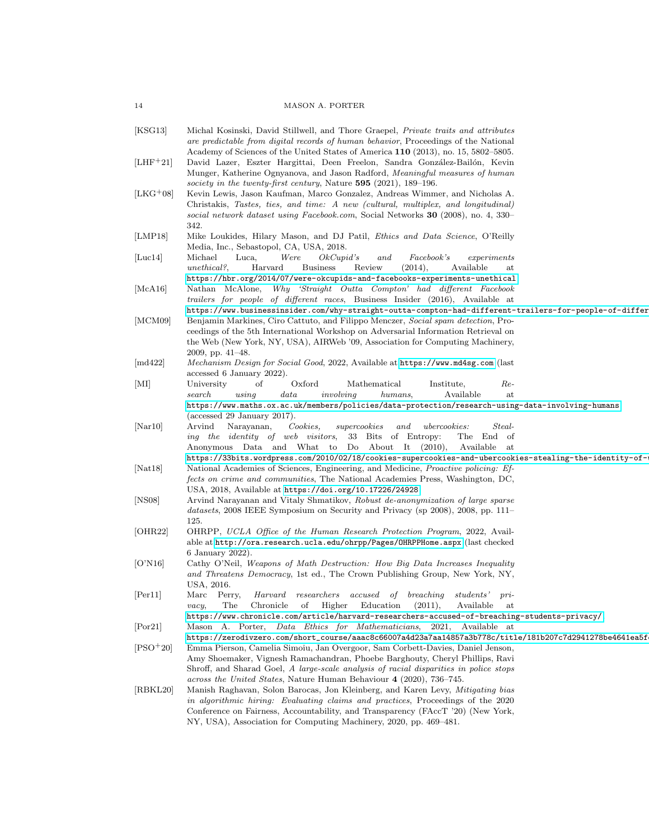| 14 | <b>MASON A. PORTER</b> |
|----|------------------------|
|----|------------------------|

<span id="page-13-17"></span><span id="page-13-16"></span><span id="page-13-15"></span><span id="page-13-14"></span><span id="page-13-13"></span><span id="page-13-12"></span><span id="page-13-11"></span><span id="page-13-10"></span><span id="page-13-9"></span><span id="page-13-8"></span><span id="page-13-7"></span><span id="page-13-6"></span><span id="page-13-5"></span><span id="page-13-4"></span><span id="page-13-3"></span><span id="page-13-2"></span><span id="page-13-1"></span><span id="page-13-0"></span>

| [KSG13]                      | Michal Kosinski, David Stillwell, and Thore Graepel, <i>Private traits and attributes</i><br>are predictable from digital records of human behavior, Proceedings of the National                                                                                                                                                                                                                                                                                                          |
|------------------------------|-------------------------------------------------------------------------------------------------------------------------------------------------------------------------------------------------------------------------------------------------------------------------------------------------------------------------------------------------------------------------------------------------------------------------------------------------------------------------------------------|
| $[LHF^+21]$                  | Academy of Sciences of the United States of America 110 (2013), no. 15, 5802-5805.<br>David Lazer, Eszter Hargittai, Deen Freelon, Sandra González-Bailón, Kevin<br>Munger, Katherine Ognyanova, and Jason Radford, Meaningful measures of human<br>society in the twenty-first century, Nature 595 (2021), 189-196.                                                                                                                                                                      |
| $[LKG+08]$                   | Kevin Lewis, Jason Kaufman, Marco Gonzalez, Andreas Wimmer, and Nicholas A.<br>Christakis, Tastes, ties, and time: A new (cultural, multiplex, and longitudinal)<br>social network dataset using Facebook.com, Social Networks 30 (2008), no. 4, 330–<br>342.                                                                                                                                                                                                                             |
| [LMP18]                      | Mike Loukides, Hilary Mason, and DJ Patil, Ethics and Data Science, O'Reilly<br>Media, Inc., Sebastopol, CA, USA, 2018.                                                                                                                                                                                                                                                                                                                                                                   |
| $ {\rm Luc14} $              | Michael<br>Luca,<br>Were<br>OkCupid's<br><i>Facebook's</i><br>$\it{and}$<br>experiments<br>Harvard<br>(2014),<br>Available<br>unethical?,<br><b>Business</b><br>Review<br>at                                                                                                                                                                                                                                                                                                              |
| [McA16]                      | https://hbr.org/2014/07/were-okcupids-and-facebooks-experiments-unethical.<br>Nathan McAlone, Why 'Straight Outta Compton' had different Facebook<br>trailers for people of different races, Business Insider (2016), Available at                                                                                                                                                                                                                                                        |
| [MCM09]                      | https://www.businessinsider.com/why-straight-outta-compton-had-different-trailers-for-people-of-differ<br>Benjamin Markines, Ciro Cattuto, and Filippo Menczer, Social spam detection, Pro-<br>ceedings of the 5th International Workshop on Adversarial Information Retrieval on<br>the Web (New York, NY, USA), AIRWeb '09, Association for Computing Machinery,<br>2009, pp. $41-48$ .                                                                                                 |
| [md422]                      | <i>Mechanism Design for Social Good</i> , 2022, Available at https://www.md4sg.com (last<br>accessed 6 January 2022).                                                                                                                                                                                                                                                                                                                                                                     |
| MI                           | Oxford<br>Mathematical<br>University<br>of<br>Institute,<br>Re-<br>Available<br>using<br>data<br>involving<br>humans,<br>search<br>at                                                                                                                                                                                                                                                                                                                                                     |
| $\vert \text{Nar}10 \vert$   | https://www.maths.ox.ac.uk/members/policies/data-protection/research-using-data-involving-humans<br>(accessed 29 January 2017).<br>Arvind<br>Narayanan,<br>Cookies,<br>supercookies<br>and<br><i>ubercookies:</i><br>$Steal-$<br>33 Bits of Entropy:<br>The End of<br>ing the identity of web visitors,<br>Anonymous Data and What to Do About It (2010),<br>Available at                                                                                                                 |
| $\vert \mathrm{Nat}18 \vert$ | https://33bits.wordpress.com/2010/02/18/cookies-supercookies-and-ubercookies-stealing-the-identity-of-<br>National Academies of Sciences, Engineering, and Medicine, <i>Proactive policing: Ef-</i><br><i>fects on crime and communities</i> , The National Academies Press, Washington, DC,                                                                                                                                                                                              |
| NS08                         | USA, 2018, Available at https://doi.org/10.17226/24928.<br>Arvind Narayanan and Vitaly Shmatikov, Robust de-anonymization of large sparse<br><i>datasets</i> , 2008 IEEE Symposium on Security and Privacy (sp 2008), 2008, pp. 111–<br>125.                                                                                                                                                                                                                                              |
| OHR22                        | OHRPP, UCLA Office of the Human Research Protection Program, 2022, Avail-<br>able at http://ora.research.ucla.edu/ohrpp/Pages/OHRPPHome.aspx (last checked                                                                                                                                                                                                                                                                                                                                |
| O'NI6                        | 6 January 2022).<br>Cathy O'Neil, Weapons of Math Destruction: How Big Data Increases Inequality<br>and Threatens Democracy, 1st ed., The Crown Publishing Group, New York, NY,<br>USA, 2016.                                                                                                                                                                                                                                                                                             |
| [Per11]                      | Marc Perry,<br>Harvard researchers<br>of breaching<br>accused<br>students'<br>$pr-1$<br>The<br>Chronicle<br>of Higher<br>Education<br>(2011),<br>Available<br>at<br>$\mathit{vacy},$                                                                                                                                                                                                                                                                                                      |
| Por21                        | https://www.chronicle.com/article/harvard-researchers-accused-of-breaching-students-privacy/.<br>Mason A. Porter, <i>Data Ethics for Mathematicians</i> , 2021, Available at<br>https://zerodivzero.com/short_course/aaac8c66007a4d23a7aa14857a3b778c/title/181b207c7d2941278be4641ea5f                                                                                                                                                                                                   |
| $[PSO+20]$                   | Emma Pierson, Camelia Simoiu, Jan Overgoor, Sam Corbett-Davies, Daniel Jenson,<br>Amy Shoemaker, Vignesh Ramachandran, Phoebe Barghouty, Cheryl Phillips, Ravi                                                                                                                                                                                                                                                                                                                            |
| RBKL20                       | Shroff, and Sharad Goel, A large-scale analysis of racial disparities in police stops<br>across the United States, Nature Human Behaviour 4 (2020), 736–745.<br>Manish Raghavan, Solon Barocas, Jon Kleinberg, and Karen Levy, Mitigating bias<br>in algorithmic hiring: Evaluating claims and practices, Proceedings of the 2020<br>Conference on Fairness, Accountability, and Transparency (FAccT '20) (New York,<br>NY, USA), Association for Computing Machinery, 2020, pp. 469–481. |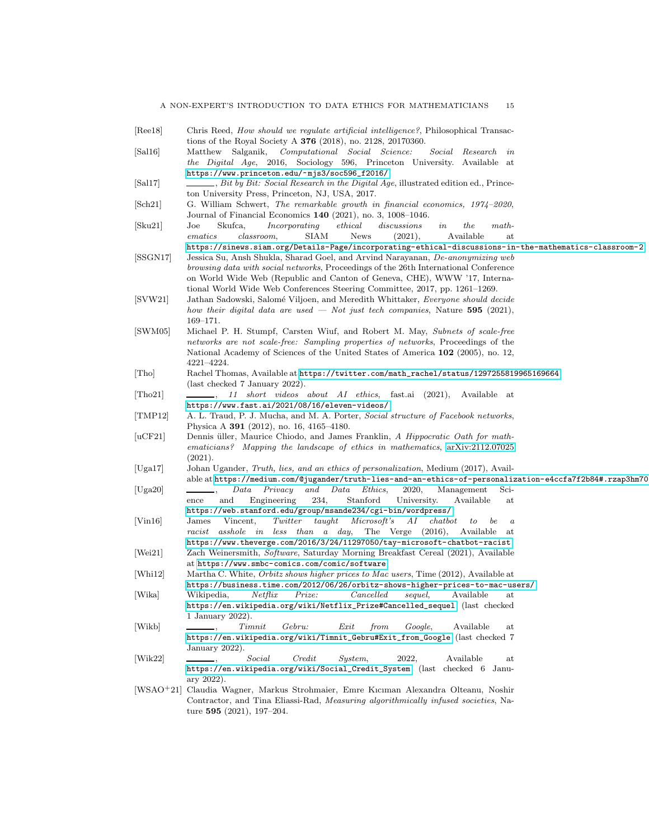<span id="page-14-20"></span><span id="page-14-19"></span><span id="page-14-18"></span><span id="page-14-17"></span><span id="page-14-16"></span><span id="page-14-15"></span><span id="page-14-14"></span><span id="page-14-13"></span><span id="page-14-12"></span><span id="page-14-11"></span><span id="page-14-10"></span><span id="page-14-9"></span><span id="page-14-8"></span><span id="page-14-7"></span><span id="page-14-6"></span><span id="page-14-5"></span><span id="page-14-4"></span><span id="page-14-3"></span><span id="page-14-2"></span><span id="page-14-1"></span><span id="page-14-0"></span>

| Ree18              | Chris Reed, <i>How should we regulate artificial intelligence?</i> , Philosophical Transac-                                                                                   |
|--------------------|-------------------------------------------------------------------------------------------------------------------------------------------------------------------------------|
|                    | tions of the Royal Society A $376$ (2018), no. 2128, 20170360.                                                                                                                |
| [Sal16]            | Matthew Salganik, Computational Social Science:<br>Social Research in                                                                                                         |
|                    | the Digital Age, 2016, Sociology 596, Princeton University. Available at                                                                                                      |
|                    | https://www.princeton.edu/~mjs3/soc596_f2016/.<br>$\_\_\_\_$ , Bit by Bit: Social Research in the Digital Age, illustrated edition ed., Prince-                               |
| [Sal17]            | ton University Press, Princeton, NJ, USA, 2017.                                                                                                                               |
| $ \text{Sch21} $   | G. William Schwert, The remarkable growth in financial economics, 1974–2020,                                                                                                  |
|                    | Journal of Financial Economics 140 (2021), no. 3, 1008-1046.                                                                                                                  |
| $ $ Sku21 $ $      | ethical<br>Skufca,<br>Incorporating<br>discussions<br>the<br>math.<br>Joe<br>in                                                                                               |
|                    | Available<br>ematics<br><b>SIAM</b><br>(2021),<br>classroom.<br><b>News</b><br>at                                                                                             |
|                    | https://sinews.siam.org/Details-Page/incorporating-ethical-discussions-in-the-mathematics-classroom-2.                                                                        |
| [SSGN17]           | Jessica Su, Ansh Shukla, Sharad Goel, and Arvind Narayanan, De-anonymizing web                                                                                                |
|                    | <i>browsing data with social networks</i> , Proceedings of the 26th International Conference                                                                                  |
|                    | on World Wide Web (Republic and Canton of Geneva, CHE), WWW '17, Interna-                                                                                                     |
|                    | tional World Wide Web Conferences Steering Committee, 2017, pp. 1261–1269.                                                                                                    |
| [SVW21]<br>[SWM05] | Jathan Sadowski, Salomé Viljoen, and Meredith Whittaker, Everyone should decide                                                                                               |
|                    | how their digital data are used — Not just tech companies, Nature 595 (2021),                                                                                                 |
|                    | $169 - 171.$                                                                                                                                                                  |
|                    | Michael P. H. Stumpf, Carsten Wiuf, and Robert M. May, Subnets of scale-free<br>networks are not scale-free: Sampling properties of networks, Proceedings of the              |
|                    | National Academy of Sciences of the United States of America 102 (2005), no. 12,                                                                                              |
|                    | 4221-4224.                                                                                                                                                                    |
| [Tho]              | Rachel Thomas, Available at https://twitter.com/math_rachel/status/1297255819965169664                                                                                        |
|                    | (last checked 7 January 2022).                                                                                                                                                |
| Tho21              | $\Box$ , 11 short videos about AI ethics, fast.ai (2021), Available at                                                                                                        |
|                    | https://www.fast.ai/2021/08/16/eleven-videos/.                                                                                                                                |
| [TMP12]            | A. L. Traud, P. J. Mucha, and M. A. Porter, <i>Social structure of Facebook networks</i> ,                                                                                    |
|                    | Physica A 391 $(2012)$ , no. 16, 4165-4180.                                                                                                                                   |
| [uCF21]            | Dennis üller, Maurice Chiodo, and James Franklin, A Hippocratic Oath for math-                                                                                                |
|                    | ematicians? Mapping the landscape of ethics in mathematics, arXiv:2112.07025<br>(2021).                                                                                       |
| Uga17              | Johan Ugander, Truth, lies, and an ethics of personalization, Medium (2017), Avail-                                                                                           |
|                    | able at https://medium.com/@jugander/truth-lies-and-an-ethics-of-personalization-e4ccfa7f2b84#.rzap3hm70                                                                      |
| [Uga20]            | Data<br>Privacy<br>and<br>Data<br>Ethics,<br>2020,<br>Management<br>Sci-                                                                                                      |
|                    | 234,<br>Stanford<br>and<br>Engineering<br>University.<br>Available<br>ence<br>$_{\rm at}$                                                                                     |
|                    | https://web.stanford.edu/group/msande234/cgi-bin/wordpress/.                                                                                                                  |
| [Vin16]            | Twitter<br>James<br>Vincent,<br>taught<br>Microsoft's<br>AI<br>$\it{chatbot}$<br>to<br>be<br>$\boldsymbol{a}$                                                                 |
|                    | The Verge $(2016)$ ,<br>asshole in less than a day,<br>racist<br>Available<br>$_{\rm at}$                                                                                     |
|                    | https://www.theverge.com/2016/3/24/11297050/tay-microsoft-chatbot-racist.                                                                                                     |
| Wei21              | Zach Weinersmith, Software, Saturday Morning Breakfast Cereal (2021), Available                                                                                               |
|                    | at https://www.smbc-comics.com/comic/software.                                                                                                                                |
| Whi12              | Martha C. White, <i>Orbitz shows higher prices to Mac users</i> , Time (2012), Available at<br>https://business.time.com/2012/06/26/orbitz-shows-higher-prices-to-mac-users/. |
| [Wika]             | Wikipedia,<br>Netfix<br>Prize:<br>Cancelled<br>sequel,<br>Available<br>$_{\rm at}$                                                                                            |
|                    | https://en.wikipedia.org/wiki/Netflix_Prize#Cancelled_sequel (last checked                                                                                                    |
|                    | 1 January 2022).                                                                                                                                                              |
| [Wikb]             | $T$ <i>imnit</i><br>Gebru:<br>Available<br>Exit<br>from<br>Google,<br>at                                                                                                      |
|                    | https://en.wikipedia.org/wiki/Timnit_Gebru#Exit_from_Google (last checked 7                                                                                                   |
|                    | January 2022).                                                                                                                                                                |
| Wik22              | Social<br>Credit<br>System,<br>2022,<br>Available<br>$_{\rm at}$                                                                                                              |
|                    | https://en.wikipedia.org/wiki/Social_Credit_System (last checked 6 Janu-                                                                                                      |
|                    | $\arg 2022$ ).                                                                                                                                                                |
| $[WSAO+21]$        | Claudia Wagner, Markus Strohmaier, Emre Kiciman Alexandra Olteanu, Noshir                                                                                                     |
|                    | Contractor, and Tina Eliassi-Rad, Measuring algorithmically infused societies, Na-<br>ture $595$ (2021), 197-204.                                                             |
|                    |                                                                                                                                                                               |